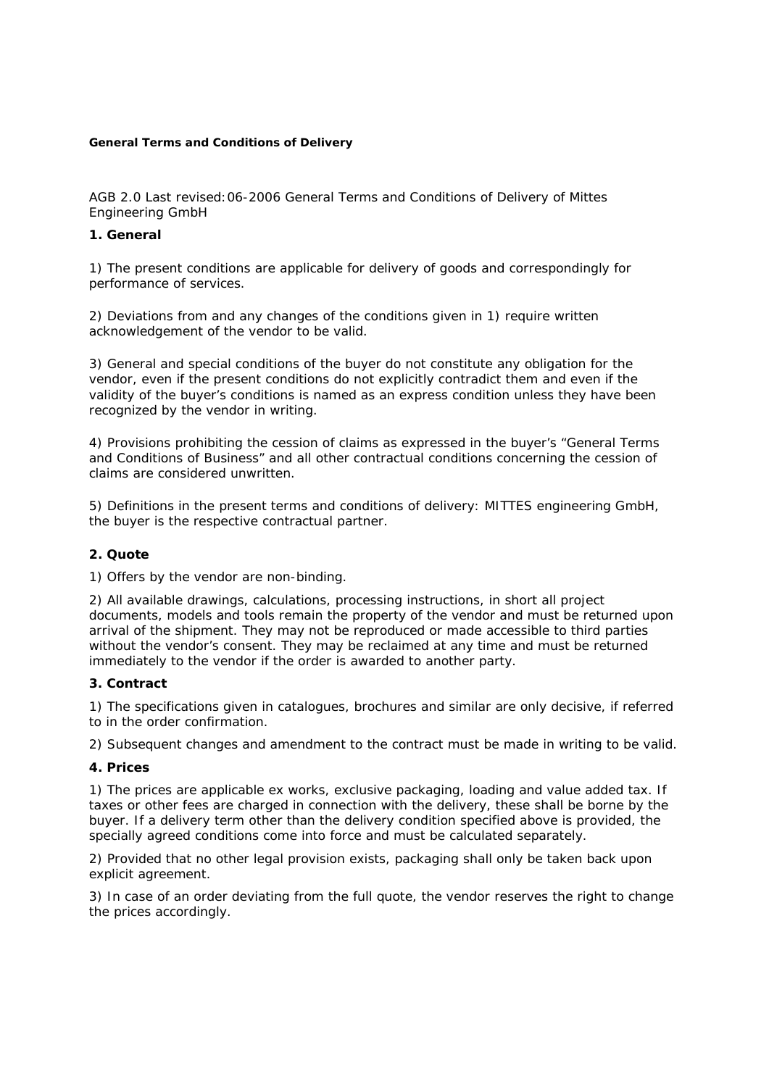#### **General Terms and Conditions of Delivery**

AGB 2.0 Last revised:06-2006 General Terms and Conditions of Delivery of Mittes Engineering GmbH

### **1. General**

1) The present conditions are applicable for delivery of goods and correspondingly for performance of services.

2) Deviations from and any changes of the conditions given in 1) require written acknowledgement of the vendor to be valid.

3) General and special conditions of the buyer do not constitute any obligation for the vendor, even if the present conditions do not explicitly contradict them and even if the validity of the buyer's conditions is named as an express condition unless they have been recognized by the vendor in writing.

4) Provisions prohibiting the cession of claims as expressed in the buyer's "General Terms and Conditions of Business" and all other contractual conditions concerning the cession of claims are considered unwritten.

5) Definitions in the present terms and conditions of delivery: MITTES engineering GmbH, the buyer is the respective contractual partner.

#### **2. Quote**

1) Offers by the vendor are non-binding.

2) All available drawings, calculations, processing instructions, in short all project documents, models and tools remain the property of the vendor and must be returned upon arrival of the shipment. They may not be reproduced or made accessible to third parties without the vendor's consent. They may be reclaimed at any time and must be returned immediately to the vendor if the order is awarded to another party.

#### **3. Contract**

1) The specifications given in catalogues, brochures and similar are only decisive, if referred to in the order confirmation.

2) Subsequent changes and amendment to the contract must be made in writing to be valid.

#### **4. Prices**

1) The prices are applicable ex works, exclusive packaging, loading and value added tax. If taxes or other fees are charged in connection with the delivery, these shall be borne by the buyer. If a delivery term other than the delivery condition specified above is provided, the specially agreed conditions come into force and must be calculated separately.

2) Provided that no other legal provision exists, packaging shall only be taken back upon explicit agreement.

3) In case of an order deviating from the full quote, the vendor reserves the right to change the prices accordingly.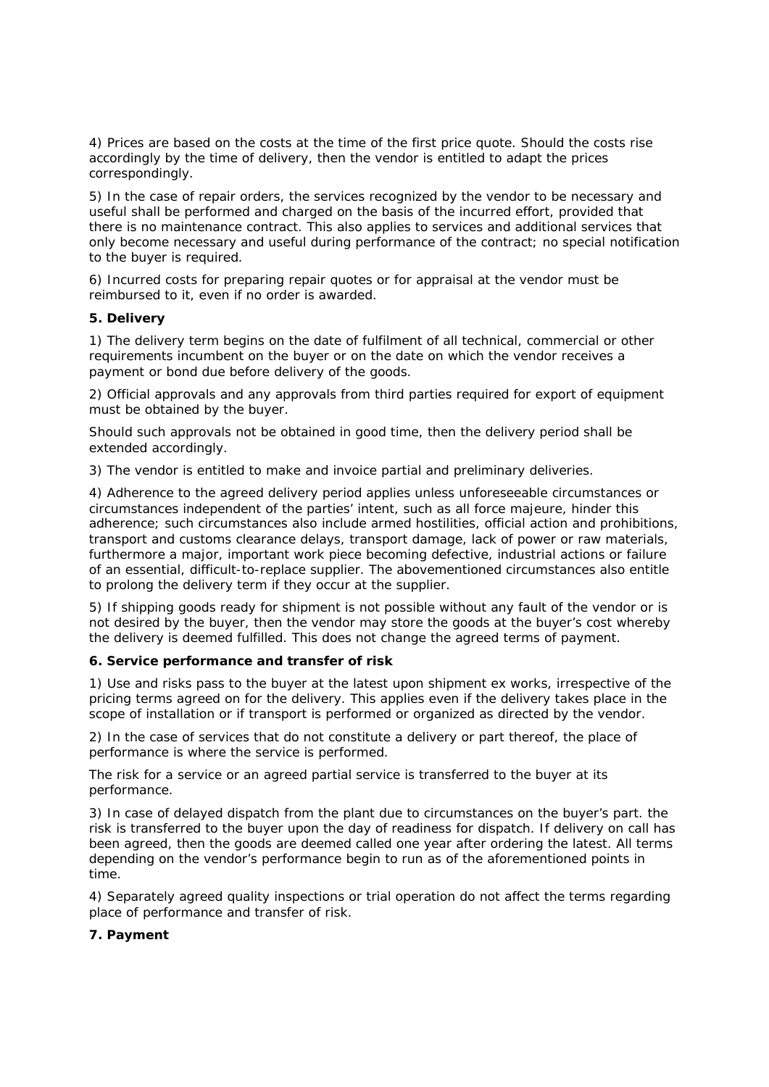4) Prices are based on the costs at the time of the first price quote. Should the costs rise accordingly by the time of delivery, then the vendor is entitled to adapt the prices correspondingly.

5) In the case of repair orders, the services recognized by the vendor to be necessary and useful shall be performed and charged on the basis of the incurred effort, provided that there is no maintenance contract. This also applies to services and additional services that only become necessary and useful during performance of the contract; no special notification to the buyer is required.

6) Incurred costs for preparing repair quotes or for appraisal at the vendor must be reimbursed to it, even if no order is awarded.

### **5. Delivery**

1) The delivery term begins on the date of fulfilment of all technical, commercial or other requirements incumbent on the buyer or on the date on which the vendor receives a payment or bond due before delivery of the goods.

2) Official approvals and any approvals from third parties required for export of equipment must be obtained by the buyer.

Should such approvals not be obtained in good time, then the delivery period shall be extended accordingly.

3) The vendor is entitled to make and invoice partial and preliminary deliveries.

4) Adherence to the agreed delivery period applies unless unforeseeable circumstances or circumstances independent of the parties' intent, such as all force majeure, hinder this adherence; such circumstances also include armed hostilities, official action and prohibitions, transport and customs clearance delays, transport damage, lack of power or raw materials, furthermore a major, important work piece becoming defective, industrial actions or failure of an essential, difficult-to-replace supplier. The abovementioned circumstances also entitle to prolong the delivery term if they occur at the supplier.

5) If shipping goods ready for shipment is not possible without any fault of the vendor or is not desired by the buyer, then the vendor may store the goods at the buyer's cost whereby the delivery is deemed fulfilled. This does not change the agreed terms of payment.

# **6. Service performance and transfer of risk**

1) Use and risks pass to the buyer at the latest upon shipment ex works, irrespective of the pricing terms agreed on for the delivery. This applies even if the delivery takes place in the scope of installation or if transport is performed or organized as directed by the vendor.

2) In the case of services that do not constitute a delivery or part thereof, the place of performance is where the service is performed.

The risk for a service or an agreed partial service is transferred to the buyer at its performance.

3) In case of delayed dispatch from the plant due to circumstances on the buyer's part. the risk is transferred to the buyer upon the day of readiness for dispatch. If delivery on call has been agreed, then the goods are deemed called one year after ordering the latest. All terms depending on the vendor's performance begin to run as of the aforementioned points in time.

4) Separately agreed quality inspections or trial operation do not affect the terms regarding place of performance and transfer of risk.

# **7. Payment**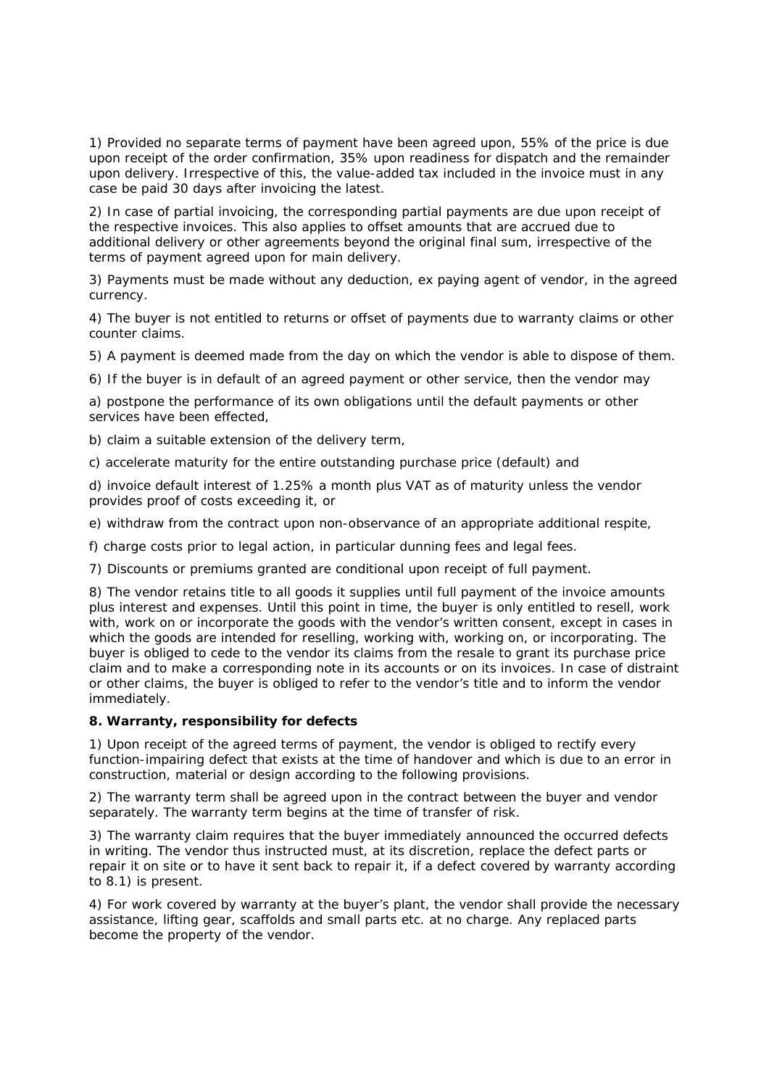1) Provided no separate terms of payment have been agreed upon, 55% of the price is due upon receipt of the order confirmation, 35% upon readiness for dispatch and the remainder upon delivery. Irrespective of this, the value-added tax included in the invoice must in any case be paid 30 days after invoicing the latest.

2) In case of partial invoicing, the corresponding partial payments are due upon receipt of the respective invoices. This also applies to offset amounts that are accrued due to additional delivery or other agreements beyond the original final sum, irrespective of the terms of payment agreed upon for main delivery.

3) Payments must be made without any deduction, ex paying agent of vendor, in the agreed currency.

4) The buyer is not entitled to returns or offset of payments due to warranty claims or other counter claims.

5) A payment is deemed made from the day on which the vendor is able to dispose of them.

6) If the buyer is in default of an agreed payment or other service, then the vendor may

a) postpone the performance of its own obligations until the default payments or other services have been effected,

b) claim a suitable extension of the delivery term,

c) accelerate maturity for the entire outstanding purchase price (default) and

d) invoice default interest of 1.25% a month plus VAT as of maturity unless the vendor provides proof of costs exceeding it, or

e) withdraw from the contract upon non-observance of an appropriate additional respite,

f) charge costs prior to legal action, in particular dunning fees and legal fees.

7) Discounts or premiums granted are conditional upon receipt of full payment.

8) The vendor retains title to all goods it supplies until full payment of the invoice amounts plus interest and expenses. Until this point in time, the buyer is only entitled to resell, work with, work on or incorporate the goods with the vendor's written consent, except in cases in which the goods are intended for reselling, working with, working on, or incorporating. The buyer is obliged to cede to the vendor its claims from the resale to grant its purchase price claim and to make a corresponding note in its accounts or on its invoices. In case of distraint or other claims, the buyer is obliged to refer to the vendor's title and to inform the vendor immediately.

#### **8. Warranty, responsibility for defects**

1) Upon receipt of the agreed terms of payment, the vendor is obliged to rectify every function-impairing defect that exists at the time of handover and which is due to an error in construction, material or design according to the following provisions.

2) The warranty term shall be agreed upon in the contract between the buyer and vendor separately. The warranty term begins at the time of transfer of risk.

3) The warranty claim requires that the buyer immediately announced the occurred defects in writing. The vendor thus instructed must, at its discretion, replace the defect parts or repair it on site or to have it sent back to repair it, if a defect covered by warranty according to 8.1) is present.

4) For work covered by warranty at the buyer's plant, the vendor shall provide the necessary assistance, lifting gear, scaffolds and small parts etc. at no charge. Any replaced parts become the property of the vendor.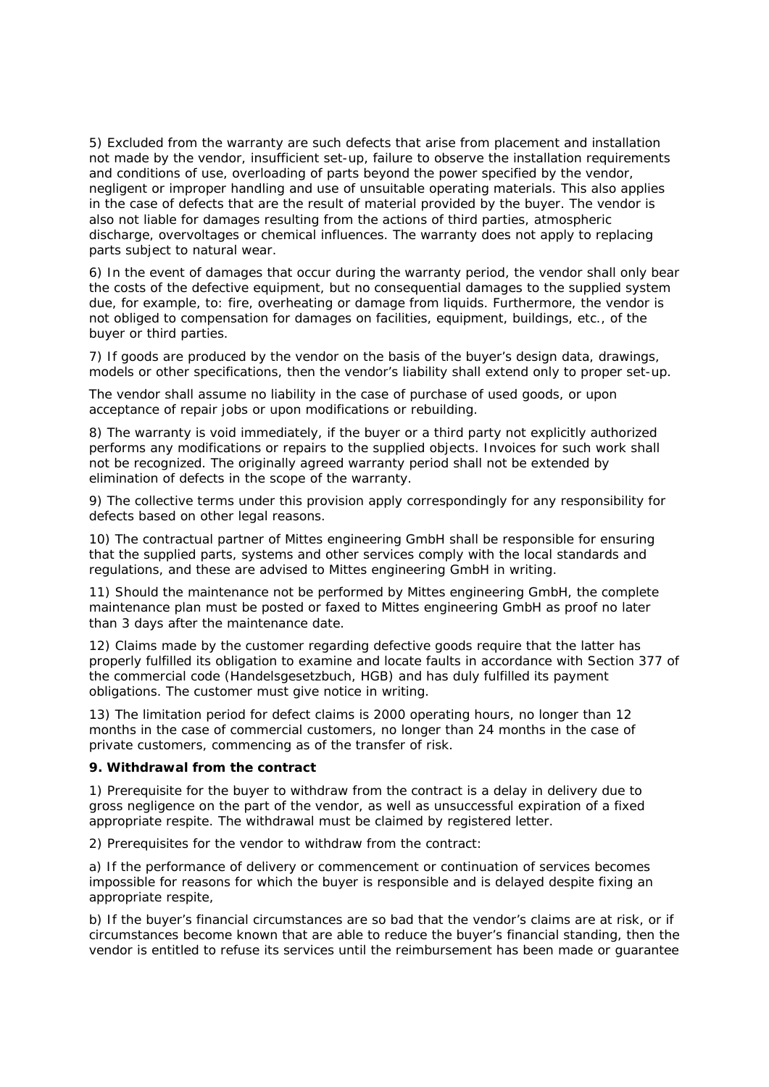5) Excluded from the warranty are such defects that arise from placement and installation not made by the vendor, insufficient set-up, failure to observe the installation requirements and conditions of use, overloading of parts beyond the power specified by the vendor, negligent or improper handling and use of unsuitable operating materials. This also applies in the case of defects that are the result of material provided by the buyer. The vendor is also not liable for damages resulting from the actions of third parties, atmospheric discharge, overvoltages or chemical influences. The warranty does not apply to replacing parts subject to natural wear.

6) In the event of damages that occur during the warranty period, the vendor shall only bear the costs of the defective equipment, but no consequential damages to the supplied system due, for example, to: fire, overheating or damage from liquids. Furthermore, the vendor is not obliged to compensation for damages on facilities, equipment, buildings, etc., of the buyer or third parties.

7) If goods are produced by the vendor on the basis of the buyer's design data, drawings, models or other specifications, then the vendor's liability shall extend only to proper set-up.

The vendor shall assume no liability in the case of purchase of used goods, or upon acceptance of repair jobs or upon modifications or rebuilding.

8) The warranty is void immediately, if the buyer or a third party not explicitly authorized performs any modifications or repairs to the supplied objects. Invoices for such work shall not be recognized. The originally agreed warranty period shall not be extended by elimination of defects in the scope of the warranty.

9) The collective terms under this provision apply correspondingly for any responsibility for defects based on other legal reasons.

10) The contractual partner of Mittes engineering GmbH shall be responsible for ensuring that the supplied parts, systems and other services comply with the local standards and regulations, and these are advised to Mittes engineering GmbH in writing.

11) Should the maintenance not be performed by Mittes engineering GmbH, the complete maintenance plan must be posted or faxed to Mittes engineering GmbH as proof no later than 3 days after the maintenance date.

12) Claims made by the customer regarding defective goods require that the latter has properly fulfilled its obligation to examine and locate faults in accordance with Section 377 of the commercial code (Handelsgesetzbuch, HGB) and has duly fulfilled its payment obligations. The customer must give notice in writing.

13) The limitation period for defect claims is 2000 operating hours, no longer than 12 months in the case of commercial customers, no longer than 24 months in the case of private customers, commencing as of the transfer of risk.

#### **9. Withdrawal from the contract**

1) Prerequisite for the buyer to withdraw from the contract is a delay in delivery due to gross negligence on the part of the vendor, as well as unsuccessful expiration of a fixed appropriate respite. The withdrawal must be claimed by registered letter.

2) Prerequisites for the vendor to withdraw from the contract:

a) If the performance of delivery or commencement or continuation of services becomes impossible for reasons for which the buyer is responsible and is delayed despite fixing an appropriate respite,

b) If the buyer's financial circumstances are so bad that the vendor's claims are at risk, or if circumstances become known that are able to reduce the buyer's financial standing, then the vendor is entitled to refuse its services until the reimbursement has been made or guarantee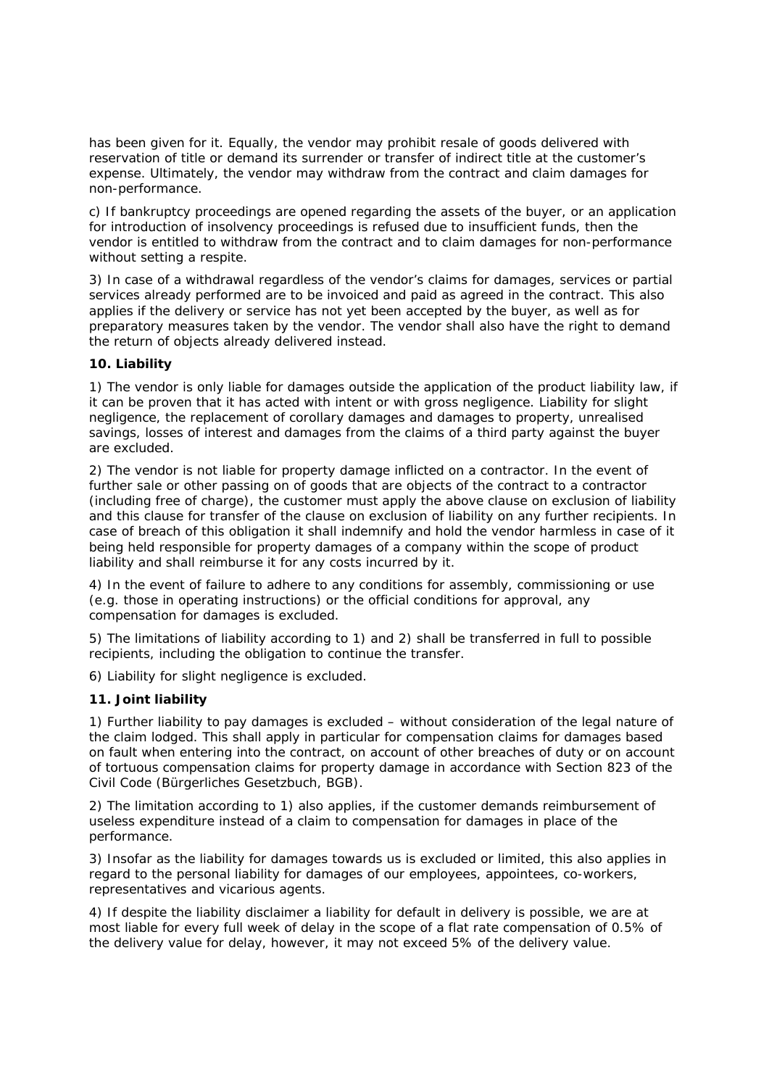has been given for it. Equally, the vendor may prohibit resale of goods delivered with reservation of title or demand its surrender or transfer of indirect title at the customer's expense. Ultimately, the vendor may withdraw from the contract and claim damages for non-performance.

c) If bankruptcy proceedings are opened regarding the assets of the buyer, or an application for introduction of insolvency proceedings is refused due to insufficient funds, then the vendor is entitled to withdraw from the contract and to claim damages for non-performance without setting a respite.

3) In case of a withdrawal regardless of the vendor's claims for damages, services or partial services already performed are to be invoiced and paid as agreed in the contract. This also applies if the delivery or service has not yet been accepted by the buyer, as well as for preparatory measures taken by the vendor. The vendor shall also have the right to demand the return of objects already delivered instead.

# **10. Liability**

1) The vendor is only liable for damages outside the application of the product liability law, if it can be proven that it has acted with intent or with gross negligence. Liability for slight negligence, the replacement of corollary damages and damages to property, unrealised savings, losses of interest and damages from the claims of a third party against the buyer are excluded.

2) The vendor is not liable for property damage inflicted on a contractor. In the event of further sale or other passing on of goods that are objects of the contract to a contractor (including free of charge), the customer must apply the above clause on exclusion of liability and this clause for transfer of the clause on exclusion of liability on any further recipients. In case of breach of this obligation it shall indemnify and hold the vendor harmless in case of it being held responsible for property damages of a company within the scope of product liability and shall reimburse it for any costs incurred by it.

4) In the event of failure to adhere to any conditions for assembly, commissioning or use (e.g. those in operating instructions) or the official conditions for approval, any compensation for damages is excluded.

5) The limitations of liability according to 1) and 2) shall be transferred in full to possible recipients, including the obligation to continue the transfer.

6) Liability for slight negligence is excluded.

# **11. Joint liability**

1) Further liability to pay damages is excluded – without consideration of the legal nature of the claim lodged. This shall apply in particular for compensation claims for damages based on fault when entering into the contract, on account of other breaches of duty or on account of tortuous compensation claims for property damage in accordance with Section 823 of the Civil Code (Bürgerliches Gesetzbuch, BGB).

2) The limitation according to 1) also applies, if the customer demands reimbursement of useless expenditure instead of a claim to compensation for damages in place of the performance.

3) Insofar as the liability for damages towards us is excluded or limited, this also applies in regard to the personal liability for damages of our employees, appointees, co-workers, representatives and vicarious agents.

4) If despite the liability disclaimer a liability for default in delivery is possible, we are at most liable for every full week of delay in the scope of a flat rate compensation of 0.5% of the delivery value for delay, however, it may not exceed 5% of the delivery value.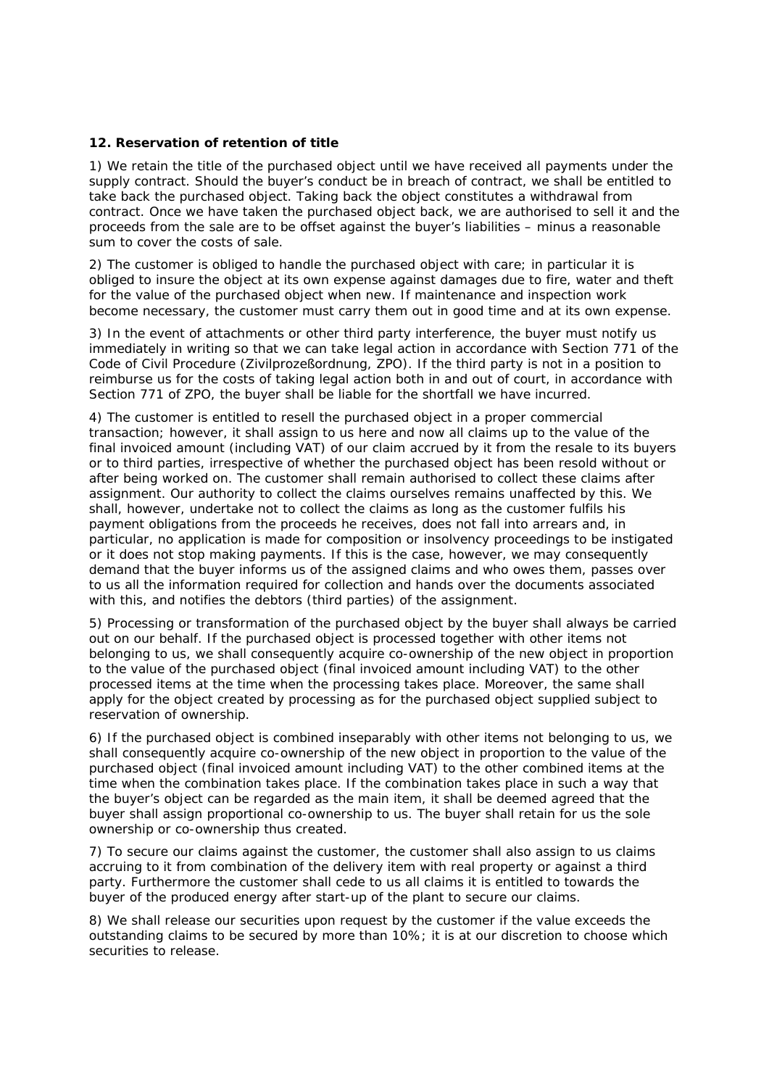# **12. Reservation of retention of title**

1) We retain the title of the purchased object until we have received all payments under the supply contract. Should the buyer's conduct be in breach of contract, we shall be entitled to take back the purchased object. Taking back the object constitutes a withdrawal from contract. Once we have taken the purchased object back, we are authorised to sell it and the proceeds from the sale are to be offset against the buyer's liabilities – minus a reasonable sum to cover the costs of sale.

2) The customer is obliged to handle the purchased object with care; in particular it is obliged to insure the object at its own expense against damages due to fire, water and theft for the value of the purchased object when new. If maintenance and inspection work become necessary, the customer must carry them out in good time and at its own expense.

3) In the event of attachments or other third party interference, the buyer must notify us immediately in writing so that we can take legal action in accordance with Section 771 of the Code of Civil Procedure (Zivilprozeßordnung, ZPO). If the third party is not in a position to reimburse us for the costs of taking legal action both in and out of court, in accordance with Section 771 of ZPO, the buyer shall be liable for the shortfall we have incurred.

4) The customer is entitled to resell the purchased object in a proper commercial transaction; however, it shall assign to us here and now all claims up to the value of the final invoiced amount (including VAT) of our claim accrued by it from the resale to its buyers or to third parties, irrespective of whether the purchased object has been resold without or after being worked on. The customer shall remain authorised to collect these claims after assignment. Our authority to collect the claims ourselves remains unaffected by this. We shall, however, undertake not to collect the claims as long as the customer fulfils his payment obligations from the proceeds he receives, does not fall into arrears and, in particular, no application is made for composition or insolvency proceedings to be instigated or it does not stop making payments. If this is the case, however, we may consequently demand that the buyer informs us of the assigned claims and who owes them, passes over to us all the information required for collection and hands over the documents associated with this, and notifies the debtors (third parties) of the assignment.

5) Processing or transformation of the purchased object by the buyer shall always be carried out on our behalf. If the purchased object is processed together with other items not belonging to us, we shall consequently acquire co-ownership of the new object in proportion to the value of the purchased object (final invoiced amount including VAT) to the other processed items at the time when the processing takes place. Moreover, the same shall apply for the object created by processing as for the purchased object supplied subject to reservation of ownership.

6) If the purchased object is combined inseparably with other items not belonging to us, we shall consequently acquire co-ownership of the new object in proportion to the value of the purchased object (final invoiced amount including VAT) to the other combined items at the time when the combination takes place. If the combination takes place in such a way that the buyer's object can be regarded as the main item, it shall be deemed agreed that the buyer shall assign proportional co-ownership to us. The buyer shall retain for us the sole ownership or co-ownership thus created.

7) To secure our claims against the customer, the customer shall also assign to us claims accruing to it from combination of the delivery item with real property or against a third party. Furthermore the customer shall cede to us all claims it is entitled to towards the buyer of the produced energy after start-up of the plant to secure our claims.

8) We shall release our securities upon request by the customer if the value exceeds the outstanding claims to be secured by more than 10%; it is at our discretion to choose which securities to release.